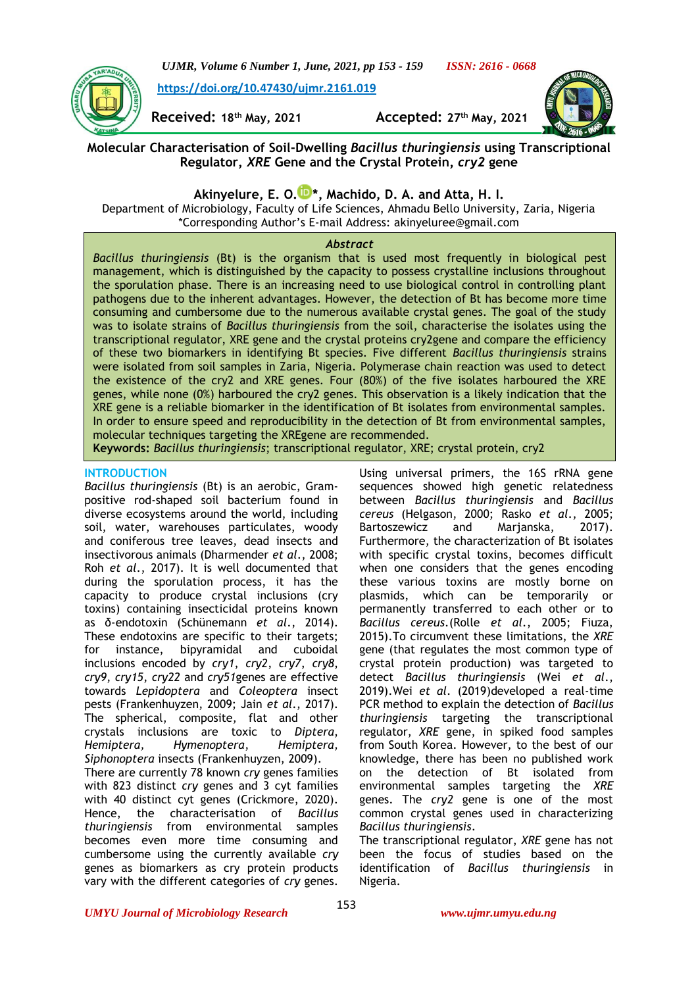

**[https://doi.org/10.47430/ujmr.2161.019](https://doi.org/10.47430/ujmr.2052.001)**



**Received: 18th May, 2021 Accepted: 27th May, 2021**

# **Molecular Characterisation of Soil-Dwelling** *Bacillus thuringiensis* **using Transcriptional Regulator,** *XRE* **Gene and the Crystal Protein,** *cry2* **gene**

**Akinyelure, E. O. [\\*](https://orcid.org/0000-0001-9252-3404), Machido, D. A. and Atta, H. I.**

Department of Microbiology, Faculty of Life Sciences, Ahmadu Bello University, Zaria, Nigeria \*Corresponding Author's E-mail Address: [akinyeluree@gmail.com](mailto:akinyeluree@gmail.com)

## *Abstract*

*Bacillus thuringiensis* (Bt) is the organism that is used most frequently in biological pest management, which is distinguished by the capacity to possess crystalline inclusions throughout the sporulation phase. There is an increasing need to use biological control in controlling plant pathogens due to the inherent advantages. However, the detection of Bt has become more time consuming and cumbersome due to the numerous available crystal genes. The goal of the study was to isolate strains of *Bacillus thuringiensis* from the soil, characterise the isolates using the transcriptional regulator, XRE gene and the crystal proteins cry2gene and compare the efficiency of these two biomarkers in identifying Bt species. Five different *Bacillus thuringiensis* strains were isolated from soil samples in Zaria, Nigeria. Polymerase chain reaction was used to detect the existence of the cry2 and XRE genes. Four (80%) of the five isolates harboured the XRE genes, while none (0%) harboured the cry2 genes. This observation is a likely indication that the XRE gene is a reliable biomarker in the identification of Bt isolates from environmental samples. In order to ensure speed and reproducibility in the detection of Bt from environmental samples, molecular techniques targeting the XREgene are recommended.

**Keywords:** *Bacillus thuringiensis*; transcriptional regulator, XRE; crystal protein, cry2

## **INTRODUCTION**

*Bacillus thuringiensis* (Bt) is an aerobic, Grampositive rod-shaped soil bacterium found in diverse ecosystems around the world, including soil, water, warehouses particulates, woody and coniferous tree leaves, dead insects and insectivorous animals (Dharmender *et al*., 2008; Roh *et al*., 2017). It is well documented that during the sporulation process, it has the capacity to produce crystal inclusions (cry toxins) containing insecticidal proteins known as δ-endotoxin (Schünemann *et al*., 2014). These endotoxins are specific to their targets; for instance, bipyramidal and cuboidal inclusions encoded by *cry1*, *cry2*, *cry7*, *cry8*, *cry9*, *cry15*, *cry22* and *cry51*genes are effective towards *Lepidoptera* and *Coleoptera* insect pests (Frankenhuyzen, 2009; Jain *et al*., 2017). The spherical, composite, flat and other crystals inclusions are toxic to *Diptera*, *Hemiptera, Hymenoptera*, *Hemiptera, Siphonoptera* insects (Frankenhuyzen, 2009).

There are currently 78 known *cry* genes families with 823 distinct *cry* genes and 3 cyt families with 40 distinct cyt genes (Crickmore, 2020). Hence, the characterisation of *Bacillus thuringiensis* from environmental samples becomes even more time consuming and cumbersome using the currently available *cry* genes as biomarkers as cry protein products vary with the different categories of *cry* genes.

Using universal primers, the 16S rRNA gene sequences showed high genetic relatedness between *Bacillus thuringiensis* and *Bacillus cereus* (Helgason, 2000; Rasko *et al*., 2005; Bartoszewicz and Marjanska, 2017). Furthermore, the characterization of Bt isolates with specific crystal toxins, becomes difficult when one considers that the genes encoding these various toxins are mostly borne on plasmids, which can be temporarily or permanently transferred to each other or to *Bacillus cereus*.(Rolle *et al*., 2005; Fiuza, 2015).To circumvent these limitations, the *XRE* gene (that regulates the most common type of crystal protein production) was targeted to detect *Bacillus thuringiensis* (Wei *et al*., 2019).Wei *et al*. (2019)developed a real-time PCR method to explain the detection of *Bacillus thuringiensis* targeting the transcriptional regulator, *XRE* gene, in spiked food samples from South Korea. However, to the best of our knowledge, there has been no published work on the detection of Bt isolated from environmental samples targeting the *XRE* genes. The *cry2* gene is one of the most common crystal genes used in characterizing *Bacillus thuringiensis*.

The transcriptional regulator, *XRE* gene has not been the focus of studies based on the identification of *Bacillus thuringiensis* in Nigeria.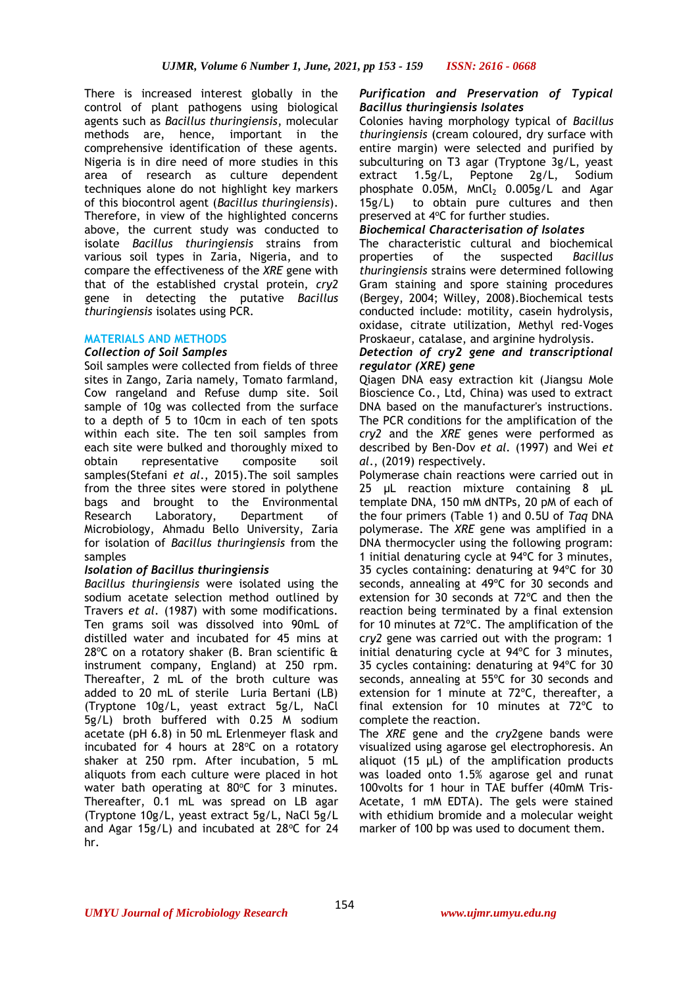There is increased interest globally in the control of plant pathogens using biological agents such as *Bacillus thuringiensis*, molecular methods are, hence, important in the comprehensive identification of these agents. Nigeria is in dire need of more studies in this area of research as culture dependent techniques alone do not highlight key markers of this biocontrol agent (*Bacillus thuringiensis*). Therefore, in view of the highlighted concerns above, the current study was conducted to isolate *Bacillus thuringiensis* strains from various soil types in Zaria, Nigeria, and to compare the effectiveness of the *XRE* gene with that of the established crystal protein, *cry2*  gene in detecting the putative *Bacillus thuringiensis* isolates using PCR.

## **MATERIALS AND METHODS**

## *Collection of Soil Samples*

Soil samples were collected from fields of three sites in Zango, Zaria namely, Tomato farmland, Cow rangeland and Refuse dump site. Soil sample of 10g was collected from the surface to a depth of 5 to 10cm in each of ten spots within each site. The ten soil samples from each site were bulked and thoroughly mixed to obtain representative composite soil samples(Stefani *et al*., 2015).The soil samples from the three sites were stored in polythene bags and brought to the Environmental Research Laboratory, Department of Microbiology, Ahmadu Bello University, Zaria for isolation of *Bacillus thuringiensis* from the samples

## *Isolation of Bacillus thuringiensis*

*Bacillus thuringiensis* were isolated using the sodium acetate selection method outlined by Travers *et al*. (1987) with some modifications. Ten grams soil was dissolved into 90mL of distilled water and incubated for 45 mins at  $28^{\circ}$ C on a rotatory shaker (B. Bran scientific & instrument company, England) at 250 rpm. Thereafter, 2 mL of the broth culture was added to 20 mL of sterile Luria Bertani (LB) (Tryptone 10g/L, yeast extract 5g/L, NaCl 5g/L) broth buffered with 0.25 M sodium acetate (pH 6.8) in 50 mL Erlenmeyer flask and incubated for 4 hours at  $28^{\circ}$ C on a rotatory shaker at 250 rpm. After incubation, 5 mL aliquots from each culture were placed in hot water bath operating at  $80^{\circ}$ C for 3 minutes. Thereafter, 0.1 mL was spread on LB agar (Tryptone 10g/L, yeast extract 5g/L, NaCl 5g/L and Agar 15g/L) and incubated at  $28^{\circ}$ C for 24 hr.

## *Purification and Preservation of Typical Bacillus thuringiensis Isolates*

Colonies having morphology typical of *Bacillus thuringiensis* (cream coloured, dry surface with entire margin) were selected and purified by subculturing on T3 agar (Tryptone 3g/L, yeast extract 1.5g/L, Peptone 2g/L, Sodium phosphate  $0.05M$ , MnCl<sub>2</sub>  $0.005g/L$  and Agar 15g/L) to obtain pure cultures and then preserved at 4°C for further studies.

## *Biochemical Characterisation of Isolates*

The characteristic cultural and biochemical properties of the suspected *Bacillus thuringiensis* strains were determined following Gram staining and spore staining procedures (Bergey, 2004; Willey, 2008).Biochemical tests conducted include: motility, casein hydrolysis, oxidase, citrate utilization, Methyl red-Voges Proskaeur, catalase, and arginine hydrolysis.

## *Detection of cry2 gene and transcriptional regulator (XRE) gene*

Qiagen DNA easy extraction kit (Jiangsu Mole Bioscience Co., Ltd, China) was used to extract DNA based on the manufacturer's instructions. The PCR conditions for the amplification of the *cry2* and the *XRE* genes were performed as described by Ben-Dov *et al.* (1997) and Wei *et al*., (2019) respectively.

Polymerase chain reactions were carried out in 25 μL reaction mixture containing 8 μL template DNA, 150 mM dNTPs, 20 pM of each of the four primers (Table 1) and 0.5U of *Taq* DNA polymerase. The *XRE* gene was amplified in a DNA thermocycler using the following program: 1 initial denaturing cycle at 94ºC for 3 minutes, 35 cycles containing: denaturing at 94ºC for 30 seconds, annealing at 49ºC for 30 seconds and extension for 30 seconds at 72ºC and then the reaction being terminated by a final extension for 10 minutes at 72ºC. The amplification of the c*ry2* gene was carried out with the program: 1 initial denaturing cycle at 94ºC for 3 minutes, 35 cycles containing: denaturing at 94ºC for 30 seconds, annealing at 55ºC for 30 seconds and extension for 1 minute at 72ºC, thereafter, a final extension for 10 minutes at 72ºC to complete the reaction.

The *XRE* gene and the *cry2*gene bands were visualized using agarose gel electrophoresis. An aliquot (15 μL) of the amplification products was loaded onto 1.5% agarose gel and runat 100volts for 1 hour in TAE buffer (40mM Tris-Acetate, 1 mM EDTA). The gels were stained with ethidium bromide and a molecular weight marker of 100 bp was used to document them.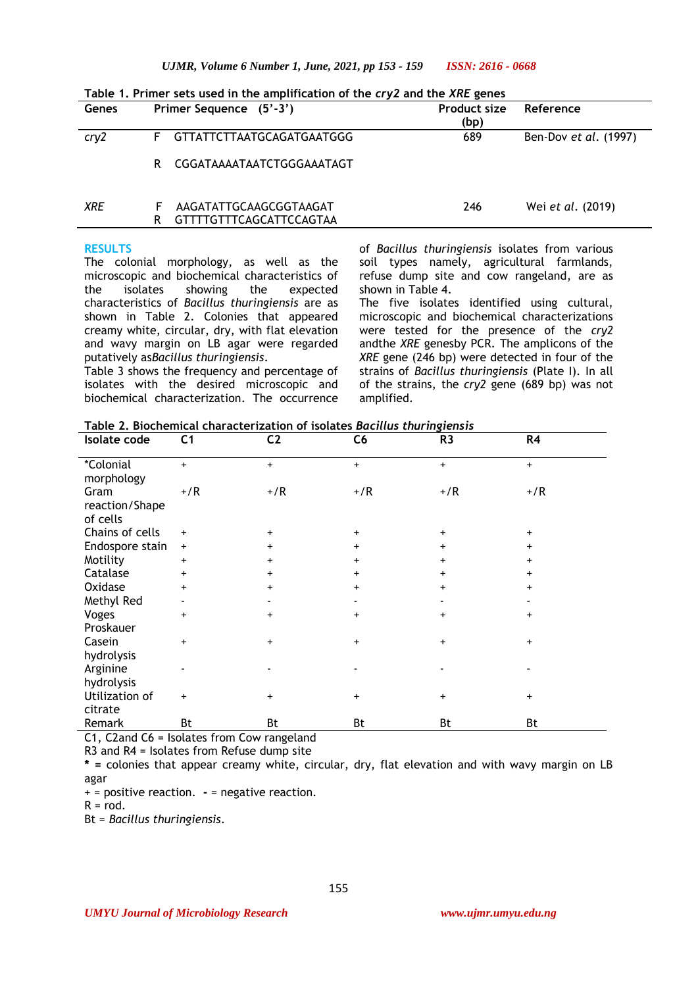| Genes |    | Primer Sequence (5'-3')                           | <b>Product size</b><br>(bp) | Reference             |  |
|-------|----|---------------------------------------------------|-----------------------------|-----------------------|--|
| cry2  | F. | GTTATTCTTAATGCAGATGAATGGG                         | 689                         | Ben-Dov et al. (1997) |  |
|       | R  | CGGATAAAATAATCTGGGAAATAGT                         |                             |                       |  |
| XRE   |    | AAGATATTGCAAGCGGTAAGAT<br>GTTTTGTTTCAGCATTCCAGTAA | 246                         | Wei et al. (2019)     |  |
|       |    |                                                   |                             |                       |  |

**Table 1. Primer sets used in the amplification of the** *cry2* **and the** *XRE* **genes**

#### **RESULTS**

The colonial morphology, as well as the microscopic and biochemical characteristics of the isolates showing the expected characteristics of *Bacillus thuringiensis* are as shown in Table 2. Colonies that appeared creamy white, circular, dry, with flat elevation and wavy margin on LB agar were regarded putatively as*Bacillus thuringiensis*.

Table 3 shows the frequency and percentage of isolates with the desired microscopic and biochemical characterization. The occurrence of *Bacillus thuringiensis* isolates from various soil types namely, agricultural farmlands, refuse dump site and cow rangeland, are as shown in Table 4.

The five isolates identified using cultural, microscopic and biochemical characterizations were tested for the presence of the *cry2*  andthe *XRE* genesby PCR. The amplicons of the *XRE* gene (246 bp) were detected in four of the strains of *Bacillus thuringiensis* (Plate I). In all of the strains, the *cry2* gene (689 bp) was not amplified.

**Table 2. Biochemical characterization of isolates** *Bacillus thuringiensis*

| Isolate code                       | C <sub>1</sub> | C <sub>2</sub> | C6        | R <sub>3</sub> | R4        |
|------------------------------------|----------------|----------------|-----------|----------------|-----------|
| *Colonial<br>morphology            | $+$            | $+$            | $\ddot{}$ | $\ddot{}$      | $+$       |
| Gram<br>reaction/Shape<br>of cells | $+/R$          | $+$ /R         | $+/R$     | $+/R$          | $+/R$     |
| Chains of cells                    | $\ddot{}$      | $+$            | +         | $\ddot{}$      | $\ddot{}$ |
| Endospore stain                    | $\ddot{}$      | $\ddot{}$      | +         | $\ddot{}$      | ÷         |
| Motility                           | +              | $\ddot{}$      | $\ddot{}$ | $\ddot{}$      |           |
| Catalase                           | +              | $\ddot{}$      | +         | $\ddot{}$      | $\ddot{}$ |
| Oxidase                            | $+$            | $\ddot{}$      | $+$       | $+$            | $\ddot{}$ |
| Methyl Red                         | ٠              |                |           |                |           |
| Voges                              | $\ddot{}$      | $\ddot{}$      | $\ddot{}$ | $\ddot{}$      | $\ddot{}$ |
| Proskauer                          |                |                |           |                |           |
| Casein                             | $\ddot{}$      | $\ddot{}$      | +         | $\ddot{}$      | $\ddot{}$ |
| hydrolysis                         |                |                |           |                |           |
| Arginine                           | ٠              |                |           |                |           |
| hydrolysis                         |                |                |           |                |           |
| Utilization of                     | $\ddot{}$      | $\ddot{}$      | $\ddot{}$ | $\ddot{}$      | $\ddot{}$ |
| citrate                            |                |                |           |                |           |
| Remark                             | Bt             | Bt             | Bt        | Bt             | Bt        |

C1, C2and C6 = Isolates from Cow rangeland

R3 and R4 = Isolates from Refuse dump site

**\* =** colonies that appear creamy white, circular, dry, flat elevation and with wavy margin on LB agar

+ = positive reaction. **-** = negative reaction.

 $R = \text{rod}$ .

Bt = *Bacillus thuringiensis*.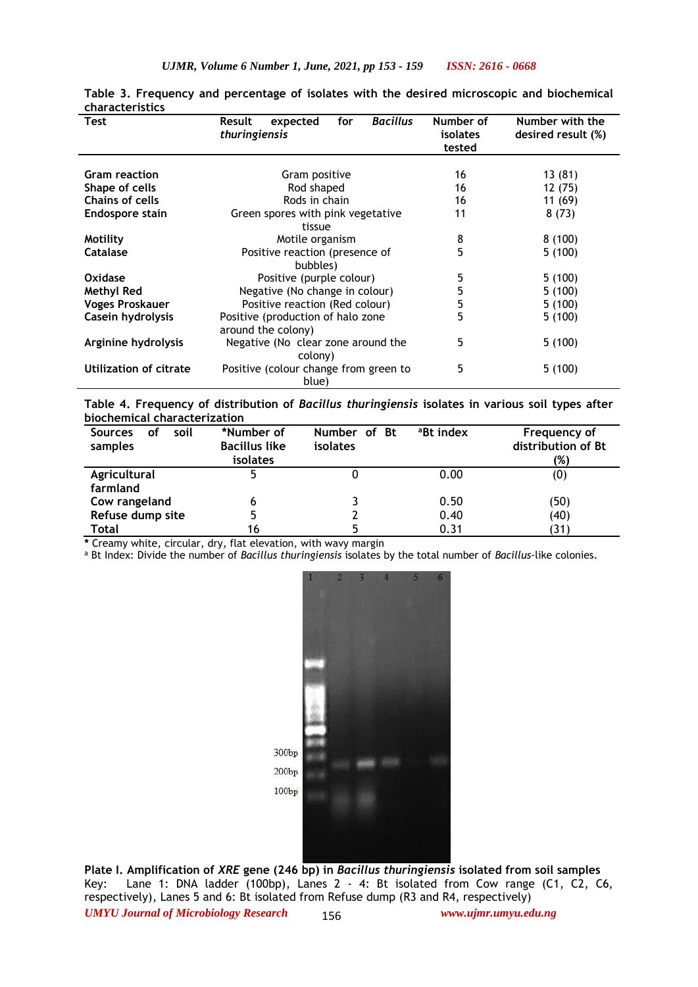| Test                   | <b>Bacillus</b><br>for<br>expected<br><b>Result</b><br>thuringiensis | Number of<br><i>isolates</i><br>tested | Number with the<br>desired result (%) |
|------------------------|----------------------------------------------------------------------|----------------------------------------|---------------------------------------|
| <b>Gram reaction</b>   | Gram positive                                                        | 16                                     | 13(81)                                |
| Shape of cells         | Rod shaped                                                           | 16                                     | 12 (75)                               |
| <b>Chains of cells</b> | Rods in chain                                                        | 16                                     | 11(69)                                |
| Endospore stain        | Green spores with pink vegetative<br>tissue                          | 11                                     | 8(73)                                 |
| Motility               | Motile organism                                                      | 8                                      | 8(100)                                |
| Catalase               | Positive reaction (presence of<br>bubbles)                           | 5                                      | 5(100)                                |
| Oxidase                | Positive (purple colour)                                             | 5                                      | 5(100)                                |
| Methyl Red             | Negative (No change in colour)                                       | 5                                      | 5(100)                                |
| <b>Voges Proskauer</b> | Positive reaction (Red colour)                                       | 5                                      | 5(100)                                |
| Casein hydrolysis      | Positive (production of halo zone<br>around the colony)              | 5                                      | 5(100)                                |
| Arginine hydrolysis    | Negative (No clear zone around the<br>colony)                        | 5                                      | 5(100)                                |
| Utilization of citrate | Positive (colour change from green to<br>blue)                       | 5                                      | 5(100)                                |

**Table 3. Frequency and percentage of isolates with the desired microscopic and biochemical characteristics**

**Table 4. Frequency of distribution of** *Bacillus thuringiensis* **isolates in various soil types after biochemical characterization** 

| soil<br><b>Sources</b><br>οf<br>samples | *Number of<br><b>Bacillus like</b><br><i>isolates</i> | Number of Bt<br>isolates | <sup>a</sup> Bt index | Frequency of<br>distribution of Bt<br>(%) |
|-----------------------------------------|-------------------------------------------------------|--------------------------|-----------------------|-------------------------------------------|
| Agricultural                            |                                                       |                          | 0.00                  | (0)                                       |
| farmland                                |                                                       |                          |                       |                                           |
| Cow rangeland                           | 6                                                     |                          | 0.50                  | (50)                                      |
| Refuse dump site                        |                                                       |                          | 0.40                  | (40)                                      |
| Total                                   | 16                                                    |                          | 0.31                  | (31)                                      |

**\*** Creamy white, circular, dry, flat elevation, with wavy margin

<sup>a</sup> Bt Index: Divide the number of *Bacillus thuringiensis* isolates by the total number of *Bacillus*-like colonies.



*UMYU Journal of Microbiology Research www.ujmr.umyu.edu.ng* **Plate I. Amplification of** *XRE* **gene (246 bp) in** *Bacillus thuringiensis* **isolated from soil samples** Key: Lane 1: DNA ladder (100bp), Lanes 2 - 4: Bt isolated from Cow range (C1, C2, C6, respectively), Lanes 5 and 6: Bt isolated from Refuse dump (R3 and R4, respectively) 156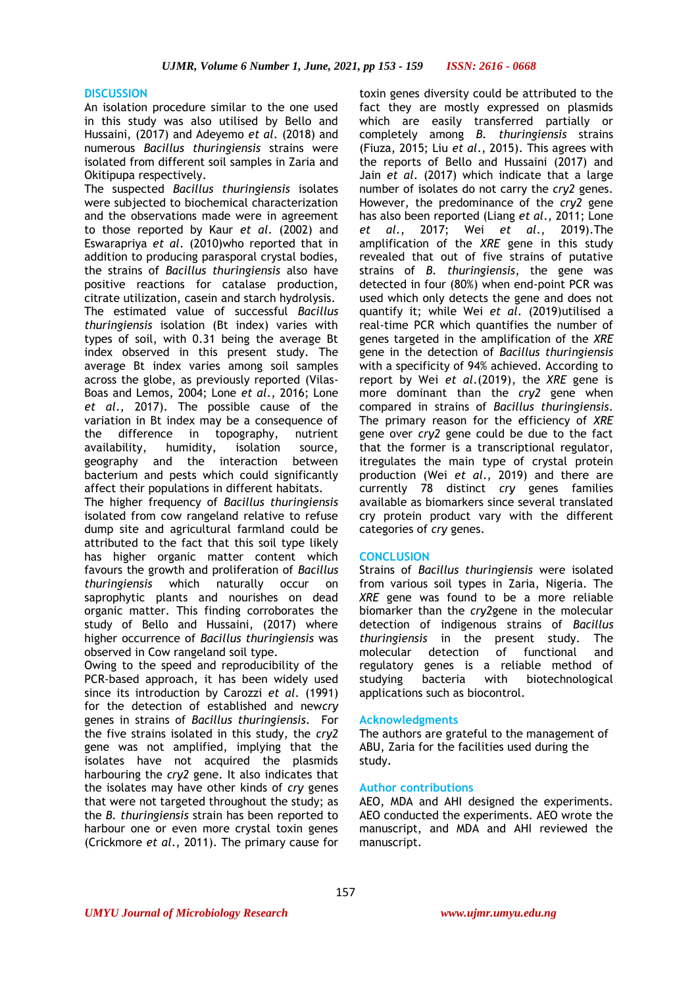#### **DISCUSSION**

An isolation procedure similar to the one used in this study was also utilised by Bello and Hussaini, (2017) and Adeyemo *et al*. (2018) and numerous *Bacillus thuringiensis* strains were isolated from different soil samples in Zaria and Okitipupa respectively.

The suspected *Bacillus thuringiensis* isolates were subjected to biochemical characterization and the observations made were in agreement to those reported by Kaur *et al*. (2002) and Eswarapriya *et al*. (2010)who reported that in addition to producing parasporal crystal bodies, the strains of *Bacillus thuringiensis* also have positive reactions for catalase production, citrate utilization, casein and starch hydrolysis. The estimated value of successful *Bacillus thuringiensis* isolation (Bt index) varies with types of soil, with 0.31 being the average Bt index observed in this present study. The average Bt index varies among soil samples across the globe, as previously reported (Vilas-Boas and Lemos, 2004; Lone *et al*., 2016; Lone *et al*., 2017). The possible cause of the variation in Bt index may be a consequence of the difference in topography, nutrient availability, humidity, isolation source, geography and the interaction between bacterium and pests which could significantly affect their populations in different habitats.

The higher frequency of *Bacillus thuringiensis*  isolated from cow rangeland relative to refuse dump site and agricultural farmland could be attributed to the fact that this soil type likely has higher organic matter content which favours the growth and proliferation of *Bacillus thuringiensis* which naturally occur on saprophytic plants and nourishes on dead organic matter. This finding corroborates the study of Bello and Hussaini, (2017) where higher occurrence of *Bacillus thuringiensis* was observed in Cow rangeland soil type.

Owing to the speed and reproducibility of the PCR-based approach, it has been widely used since its introduction by Carozzi *et al*. (1991) for the detection of established and new*cry* genes in strains of *Bacillus thuringiensis*. For the five strains isolated in this study, the *cry2* gene was not amplified, implying that the isolates have not acquired the plasmids harbouring the *cry2* gene. It also indicates that the isolates may have other kinds of *cry* genes that were not targeted throughout the study; as the *B. thuringiensis* strain has been reported to harbour one or even more crystal toxin genes (Crickmore *et al*., 2011). The primary cause for

toxin genes diversity could be attributed to the fact they are mostly expressed on plasmids which are easily transferred partially or completely among *B. thuringiensis* strains (Fiuza, 2015; Liu *et al*., 2015). This agrees with the reports of Bello and Hussaini (2017) and Jain *et al*. (2017) which indicate that a large number of isolates do not carry the *cry2* genes. However, the predominance of the *cry2* gene has also been reported (Liang *et al*., 2011; Lone *et al*., 2017; Wei *et al*., 2019).The amplification of the *XRE* gene in this study revealed that out of five strains of putative strains of *B. thuringiensis*, the gene was detected in four (80%) when end-point PCR was used which only detects the gene and does not quantify it; while Wei *et al*. (2019)utilised a real-time PCR which quantifies the number of genes targeted in the amplification of the *XRE* gene in the detection of *Bacillus thuringiensis* with a specificity of 94% achieved. According to report by Wei *et al*.(2019), the *XRE* gene is more dominant than the *cry2* gene when compared in strains of *Bacillus thuringiensis*. The primary reason for the efficiency of *XRE* gene over *cry2* gene could be due to the fact that the former is a transcriptional regulator, itregulates the main type of crystal protein production (Wei *et al*., 2019) and there are currently 78 distinct *cry* genes families available as biomarkers since several translated cry protein product vary with the different categories of *cry* genes.

## **CONCLUSION**

Strains of *Bacillus thuringiensis* were isolated from various soil types in Zaria, Nigeria. The *XRE* gene was found to be a more reliable biomarker than the *cry2*gene in the molecular detection of indigenous strains of *Bacillus thuringiensis* in the present study. The molecular detection of functional and regulatory genes is a reliable method of studying bacteria with biotechnological applications such as biocontrol.

#### **Acknowledgments**

The authors are grateful to the management of ABU, Zaria for the facilities used during the study.

## **Author contributions**

AEO, MDA and AHI designed the experiments. AEO conducted the experiments. AEO wrote the manuscript, and MDA and AHI reviewed the manuscript.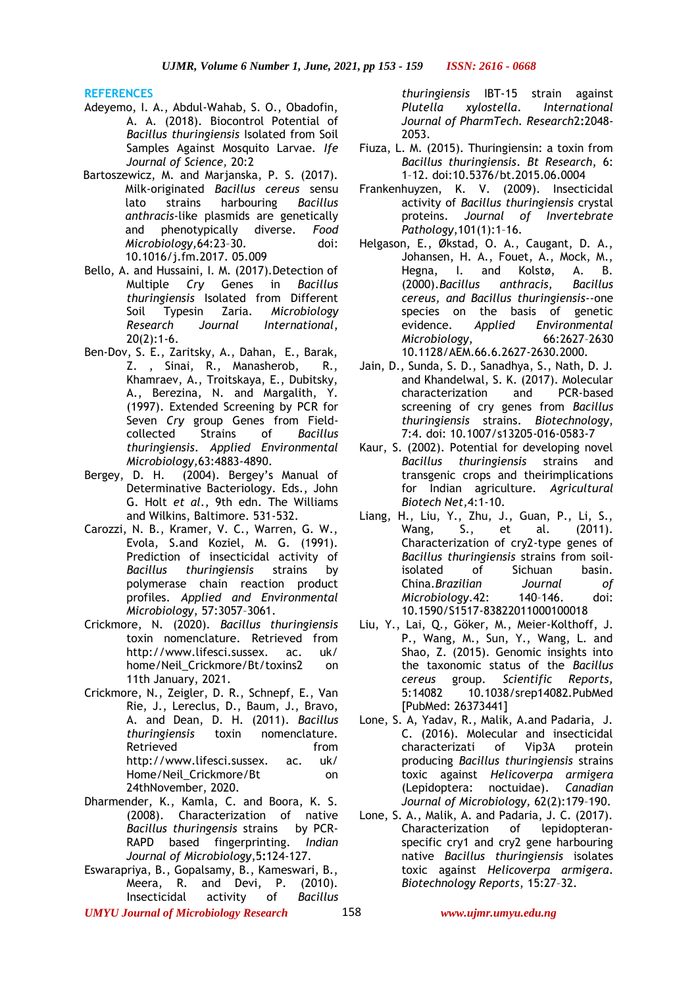**REFERENCES**

- Adeyemo, I. A., Abdul-Wahab, S. O., Obadofin, A. A. (2018). Biocontrol Potential of *Bacillus thuringiensis* Isolated from Soil Samples Against Mosquito Larvae. *Ife Journal of Science,* 20:2
- Bartoszewicz, M. and Marjanska, P. S. (2017). Milk-originated *Bacillus cereus* sensu lato strains harbouring *Bacillus anthracis*-like plasmids are genetically and phenotypically diverse. *Food Microbiology,*64:23–30. doi: 10.1016/j.fm.2017. 05.009
- Bello, A. and Hussaini, I. M. (2017).Detection of Multiple *Cry* Genes in *Bacillus thuringiensis* Isolated from Different Soil Typesin Zaria. *Microbiology Research Journal International*, 20(2):1-6.
- Ben-Dov, S. E., Zaritsky, A., Dahan, E., Barak, Z. , Sinai, R., Manasherob, R., Khamraev, A., Troitskaya, E., Dubitsky, A., Berezina, N. and Margalith, Y. (1997). Extended Screening by PCR for Seven *Cry* group Genes from Fieldcollected Strains of *Bacillus thuringiensis*. *Applied Environmental Microbiology,*63:4883-4890.
- Bergey, D. H. (2004). Bergey's Manual of Determinative Bacteriology. Eds., John G. Holt *et al*., 9th edn. The Williams and Wilkins, Baltimore. 531-532.
- Carozzi, N. B., Kramer, V. C., Warren, G. W., Evola, S.and Koziel, M. G. (1991). Prediction of insecticidal activity of *Bacillus thuringiensis* strains by polymerase chain reaction product profiles. *Applied and Environmental Microbiology*, 57:3057–3061.
- Crickmore, N. (2020). *Bacillus thuringiensis*  toxin nomenclature. Retrieved from http://www.lifesci.sussex. ac. uk/ home/Neil\_Crickmore/Bt/toxins2 on 11th January, 2021.
- Crickmore, N., Zeigler, D. R., Schnepf, E., Van Rie, J., Lereclus, D., Baum, J., Bravo, A. and Dean, D. H. (2011). *Bacillus thuringiensis* toxin nomenclature. Retrieved from http://www.lifesci.sussex. ac. uk/ Home/Neil\_Crickmore/Bt on 24thNovember, 2020.
- Dharmender, K., Kamla, C. and Boora, K. S. (2008). Characterization of native *Bacillus thuringensis* strains by PCR-RAPD based fingerprinting. *Indian Journal of Microbiology*,5**:**124-127.
- Eswarapriya, B., Gopalsamy, B., Kameswari, B., Meera, R. and Devi, P. (2010). Insecticidal activity of *Bacillus*

*thuringiensis* IBT-15 strain against *Plutella xylostella*. *International Journal of PharmTech. Research*2**:**2048- 2053.

- Fiuza, L. M. (2015). Thuringiensin: a toxin from *Bacillus thuringiensis*. *Bt Research*, 6: 1–12. doi:10.5376/bt.2015.06.0004
- Frankenhuyzen, K. V. (2009). Insecticidal activity of *Bacillus thuringiensis* crystal proteins. *Journal of Invertebrate Pathology*,101(1):1–16.
- Helgason, E., Økstad, O. A., Caugant, D. A., Johansen, H. A., Fouet, A., Mock, M.,<br>Hegna. I. and Kolstø, A. B. Hegna, I. and Kolstø, A.<br>(2000). Bacillus anthracis, Bac (2000).*Bacillus anthracis, Bacillus cereus, and Bacillus thuringiensis*--one species on the basis of genetic evidence. *Applied Environmental Microbiology*, 66:2627–2630 10.1128/AEM.66.6.2627-2630.2000.
- Jain, D., Sunda, S. D., Sanadhya, S., Nath, D. J. and Khandelwal, S. K. (2017). Molecular characterization and PCR-based screening of cry genes from *Bacillus thuringiensis* strains. *Biotechnology*, 7:4. doi: 10.1007/s13205-016-0583-7
- Kaur, S. (2002). Potential for developing novel *Bacillus thuringiensis* strains and transgenic crops and theirimplications for Indian agriculture. *Agricultural Biotech Net,*4:1-10.
- Liang, H., Liu, Y., Zhu, J., Guan, P., Li, S., Wang, S., et al. (2011). Characterization of cry2-type genes of *Bacillus thuringiensis* strains from soilisolated of Sichuan basin. China.*Brazilian Journal of Microbiology*.42: 140–146. doi: 10.1590/S1517-83822011000100018
- Liu, Y., Lai, Q., Göker, M., Meier-Kolthoff, J. P., Wang, M., Sun, Y., Wang, L. and Shao, Z. (2015). Genomic insights into the taxonomic status of the *Bacillus cereus* group. *Scientific Reports,* 5:14082 10.1038/srep14082.PubMed [PubMed: 26373441]
- Lone, S. A, Yadav, R., Malik, A.and Padaria, J. C. (2016). Molecular and insecticidal characterizati of Vip3A protein producing *Bacillus thuringiensis* strains toxic against *Helicoverpa armigera* (Lepidoptera: noctuidae). *Canadian Journal of Microbiology,* 62(2):179–190.
- Lone, S. A., Malik, A. and Padaria, J. C. (2017). Characterization of lepidopteranspecific cry1 and cry2 gene harbouring native *Bacillus thuringiensis* isolates toxic against *Helicoverpa armigera*. *Biotechnology Reports*, 15:27–32.

*UMYU Journal of Microbiology Research www.ujmr.umyu.edu.ng*